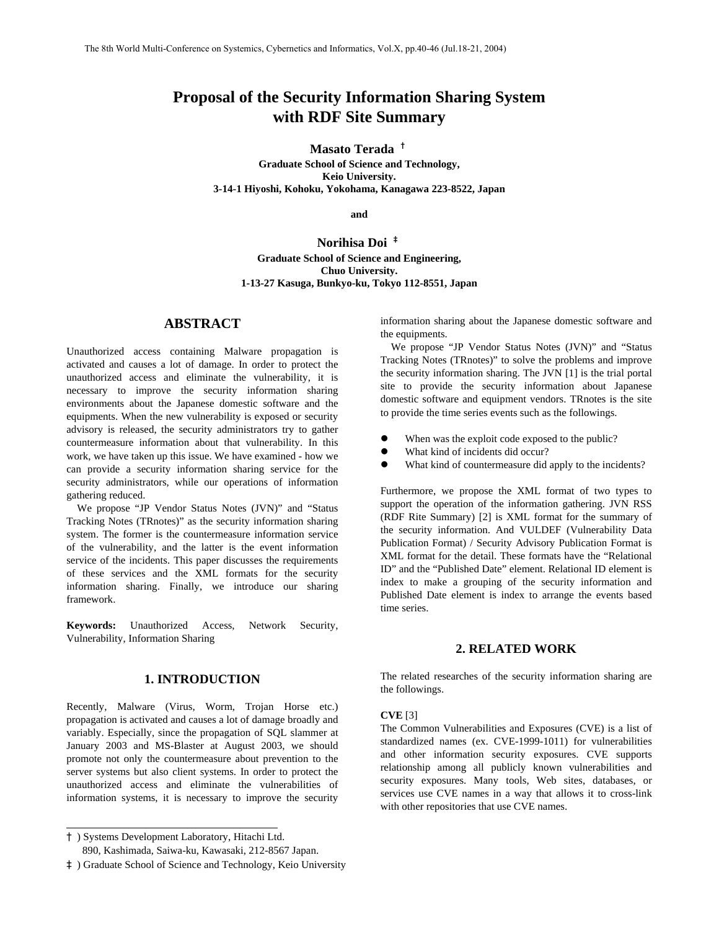# **Proposal of the Security Information Sharing System with RDF Site Summary**

**Masato Terada** †

**Graduate School of Science and Technology, Keio University. 3-14-1 Hiyoshi, Kohoku, Yokohama, Kanagawa 223-8522, Japan** 

**and** 

**Norihisa Doi** ‡ **Graduate School of Science and Engineering, Chuo University. 1-13-27 Kasuga, Bunkyo-ku, Tokyo 112-8551, Japan**

# **ABSTRACT**

Unauthorized access containing Malware propagation is activated and causes a lot of damage. In order to protect the unauthorized access and eliminate the vulnerability, it is necessary to improve the security information sharing environments about the Japanese domestic software and the equipments. When the new vulnerability is exposed or security advisory is released, the security administrators try to gather countermeasure information about that vulnerability. In this work, we have taken up this issue. We have examined - how we can provide a security information sharing service for the security administrators, while our operations of information gathering reduced.

We propose "JP Vendor Status Notes (JVN)" and "Status Tracking Notes (TRnotes)" as the security information sharing system. The former is the countermeasure information service of the vulnerability, and the latter is the event information service of the incidents. This paper discusses the requirements of these services and the XML formats for the security information sharing. Finally, we introduce our sharing framework.

**Keywords:** Unauthorized Access, Network Security, Vulnerability, Information Sharing

# **1. INTRODUCTION**

Recently, Malware (Virus, Worm, Trojan Horse etc.) propagation is activated and causes a lot of damage broadly and variably. Especially, since the propagation of SQL slammer at January 2003 and MS-Blaster at August 2003, we should promote not only the countermeasure about prevention to the server systems but also client systems. In order to protect the unauthorized access and eliminate the vulnerabilities of information systems, it is necessary to improve the security

†) Systems Development Laboratory, Hitachi Ltd.

֦

information sharing about the Japanese domestic software and the equipments.

We propose "JP Vendor Status Notes (JVN)" and "Status Tracking Notes (TRnotes)" to solve the problems and improve the security information sharing. The JVN [[1\]](#page-5-0) is the trial portal site to provide the security information about Japanese domestic software and equipment vendors. TRnotes is the site to provide the time series events such as the followings.

- When was the exploit code exposed to the public?
- What kind of incidents did occur?
- What kind of countermeasure did apply to the incidents?

Furthermore, we propose the XML format of two types to support the operation of the information gathering. JVN RSS (RDF Rite Summary) [\[2\]](#page-5-1) is XML format for the summary of the security information. And VULDEF (Vulnerability Data Publication Format) / Security Advisory Publication Format is XML format for the detail. These formats have the "Relational ID" and the "Published Date" element. Relational ID element is index to make a grouping of the security information and Published Date element is index to arrange the events based time series.

# **2. RELATED WORK**

The related researches of the security information sharing are the followings.

#### **CVE** [\[3\]](#page-5-2)

The Common Vulnerabilities and Exposures (CVE) is a list of standardized names (ex. CVE-1999-1011) for vulnerabilities and other information security exposures. CVE supports relationship among all publicly known vulnerabilities and security exposures. Many tools, Web sites, databases, or services use CVE names in a way that allows it to cross-link with other repositories that use CVE names.

 <sup>890,</sup> Kashimada, Saiwa-ku, Kawasaki, 212-8567 Japan.

<sup>‡</sup>) Graduate School of Science and Technology, Keio University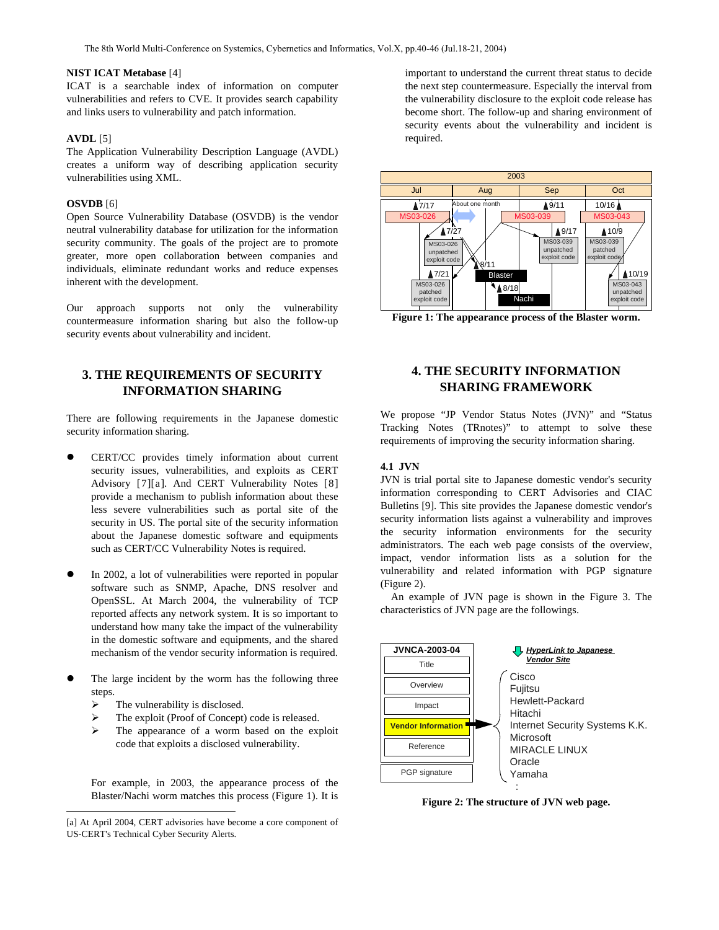#### **NIST ICAT Metabase** [[4\]](#page-5-3)

ICAT is a searchable index of information on computer vulnerabilities and refers to CVE. It provides search capability and links users to vulnerability and patch information.

# **AVDL** [\[5\]](#page-5-4)

The Application Vulnerability Description Language (AVDL) creates a uniform way of describing application security vulnerabilities using XML.

#### **OSVDB** [[6\]](#page-5-5)

Open Source Vulnerability Database (OSVDB) is the vendor neutral vulnerability database for utilization for the information security community. The goals of the project are to promote greater, more open collaboration between companies and individuals, eliminate redundant works and reduce expenses inherent with the development.

Our approach supports not only the vulnerability countermeasure information sharing but also the follow-up security events about vulnerability and incident.

# **3. THE REQUIREMENTS OF SECURITY INFORMATION SHARING**

There are following requirements in the Japanese domestic security information sharing.

- CERT/CC provides timely information about current security issues, vulnerabilities, and exploits as CERT Advisory [[7\]](#page-5-6)[[a\]](#page-1-2). And CERT Vulnerability Notes [[8\]](#page-5-6) provide a mechanism to publish information about these less severe vulnerabilities such as portal site of the security in US. The portal site of the security information about the Japanese domestic software and equipments such as CERT/CC Vulnerability Notes is required.
- In 2002, a lot of vulnerabilities were reported in popular software such as SNMP, Apache, DNS resolver and OpenSSL. At March 2004, the vulnerability of TCP reported affects any network system. It is so important to understand how many take the impact of the vulnerability in the domestic software and equipments, and the shared mechanism of the vendor security information is required.
- The large incident by the worm has the following three steps.
	- $\triangleright$  The vulnerability is disclosed.
	- ¾ The exploit (Proof of Concept) code is released.
	- ¾ The appearance of a worm based on the exploit code that exploits a disclosed vulnerability.

For example, in 2003, the appearance process of the Blaster/Nachi worm matches this process ([Figure 1\)](#page-1-0). It is

important to understand the current threat status to decide the next step countermeasure. Especially the interval from the vulnerability disclosure to the exploit code release has become short. The follow-up and sharing environment of security events about the vulnerability and incident is required.



<span id="page-1-0"></span>**Figure 1: The appearance process of the Blaster worm.** 

# **4. THE SECURITY INFORMATION SHARING FRAMEWORK**

We propose "JP Vendor Status Notes (JVN)" and "Status Tracking Notes (TRnotes)" to attempt to solve these requirements of improving the security information sharing.

# **4.1 JVN**

JVN is trial portal site to Japanese domestic vendor's security information corresponding to CERT Advisories and CIAC Bulletins [\[9\]](#page-5-7). This site provides the Japanese domestic vendor's security information lists against a vulnerability and improves the security information environments for the security administrators. The each web page consists of the overview, impact, vendor information lists as a solution for the vulnerability and related information with PGP signature [\(Figure 2\)](#page-1-1).

An example of JVN page is shown in the [Figure 3.](#page-2-0) The characteristics of JVN page are the followings.



<span id="page-1-1"></span>**Figure 2: The structure of JVN web page.** 

<span id="page-1-2"></span><sup>[</sup>a] At April 2004, CERT advisories have become a core component of US-CERT's Technical Cyber Security Alerts.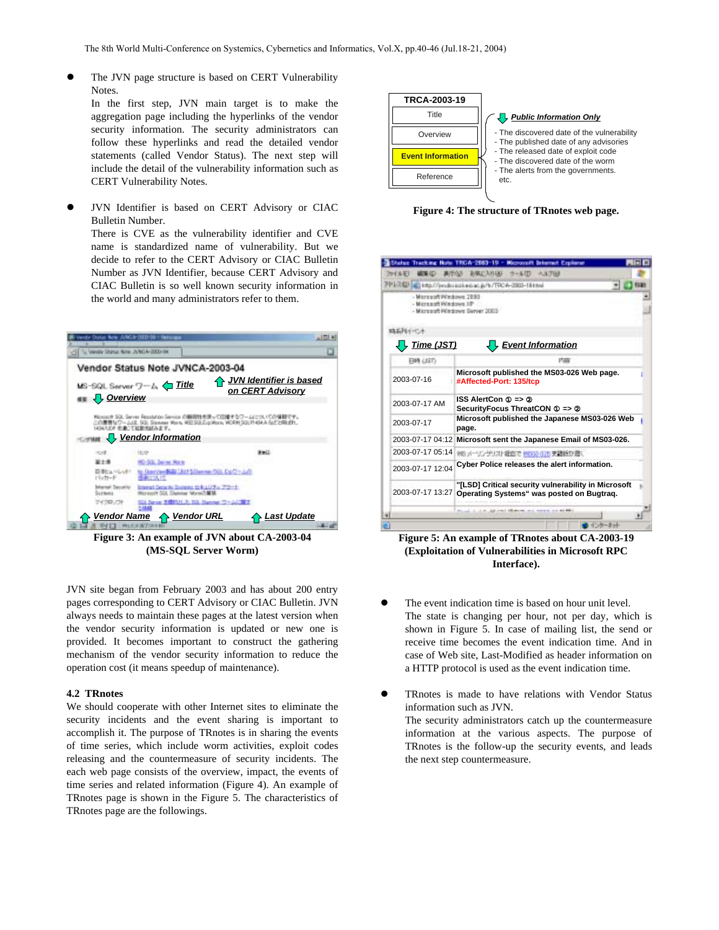The JVN page structure is based on CERT Vulnerability Notes. In the first step, JVN main target is to make the aggregation page including the hyperlinks of the vendor security information. The security administrators can follow these hyperlinks and read the detailed vendor statements (called Vendor Status). The next step will include the detail of the vulnerability information such as

CERT Vulnerability Notes.

JVN Identifier is based on CERT Advisory or CIAC JVN Identifier is based on CERT Advisory or CIAC **Figure 4: The structure of TRnotes web page.**<br>Bulletin Number. There is CVE as the vulnerability identifier and CVE name is standardized name of vulnerability. But we decide to refer to the CERT Advisory or CIAC Bulletin Number as JVN Identifier, because CERT Advisory and CIAC Bulletin is so well known security information in

the world and many administrators refer to them.



**(MS-SQL Server Worm)** 

JVN site began from February 2003 and has about 200 entry pages corresponding to CERT Advisory or CIAC Bulletin. JVN always needs to maintain these pages at the latest version when the vendor security information is updated or new one is provided. It becomes important to construct the gathering mechanism of the vendor security information to reduce the operation cost (it means speedup of maintenance).

We should cooperate with other Internet sites to eliminate the information such as JVN. security incidents and the event sharing is important to accomplish it. The purpose of TRnotes is in sharing the events of time series, which include worm activities, exploit codes releasing and the countermeasure of security incidents. The each web page consists of the overview, impact, the events of time series and related information [\(Figure 4\)](#page-2-1). An example of TRnotes page is shown in the [Figure 5.](#page-2-2) The characteristics of TRnotes page are the followings.



<span id="page-2-1"></span>

| - Microsoft Windows 2003 | PENRID (C) Intu//jimdoi icological.jp/b/TRCA-2003-1831ted                                        |
|--------------------------|--------------------------------------------------------------------------------------------------|
| - Microsoft Wadows J/P   | - Misrogoft Windows Server 2003                                                                  |
|                          |                                                                                                  |
| $\frac{1}{2}$ Time (JST) | Event Information                                                                                |
| <b>EMA LISTS</b>         |                                                                                                  |
| 2003-07-16               | Microsoft published the MS03-026 Web page.<br>#Affected-Port: 135/tcp                            |
| 2003-07-17 AM            | <b>ISS AlertCon</b><br>$\Rightarrow$<br>SecurityFocus ThreatCON                                  |
| 2003-07-17               | Microsoft published the Japanese MS03-026 Web<br>page.                                           |
| 2003-07-17 04:12         | Microsoft sent the Japanese Email of MS03-026.                                                   |
| 2003-07-17 05:14         | M6 メーリングリスト設在で HEU3-035 更建設が悪く                                                                   |
| 2003-07-17 12:04         | Cyber Police releases the alert information.                                                     |
| 2003-07-17 13:27         | "[LSD] Critical security vulnerability in Microsoft<br>Operating Systems" was posted on Bugtrag. |

<span id="page-2-0"></span>**Figure 3: An example of JVN about CA-2003-04 Figure 5: An example of TRnotes about CA-2003-19 (Exploitation of Vulnerabilities in Microsoft RPC Interface).** 

- <span id="page-2-2"></span>The event indication time is based on hour unit level. The state is changing per hour, not per day, which is shown in [Figure 5.](#page-2-2) In case of mailing list, the send or receive time becomes the event indication time. And in case of Web site, Last-Modified as header information on a HTTP protocol is used as the event indication time.
- **4.2 TRnotes z TRNOTES z TRNOTES 1.2 TRNOTES 1.2 TRNOTES 1.2 TRNOTES 1.2 TRNOTES 1.2 TRNOTES 1.2 TRNOTES 1.2 TRNOTES 1.2 TRNOTES 1.2 TRNOTES 1.2 TRNOTES 1.2 TRNOTES 1.2 TRNOTES 1.2 TRNOTES 1** The security administrators catch up the countermeasure information at the various aspects. The purpose of TRnotes is the follow-up the security events, and leads the next step countermeasure.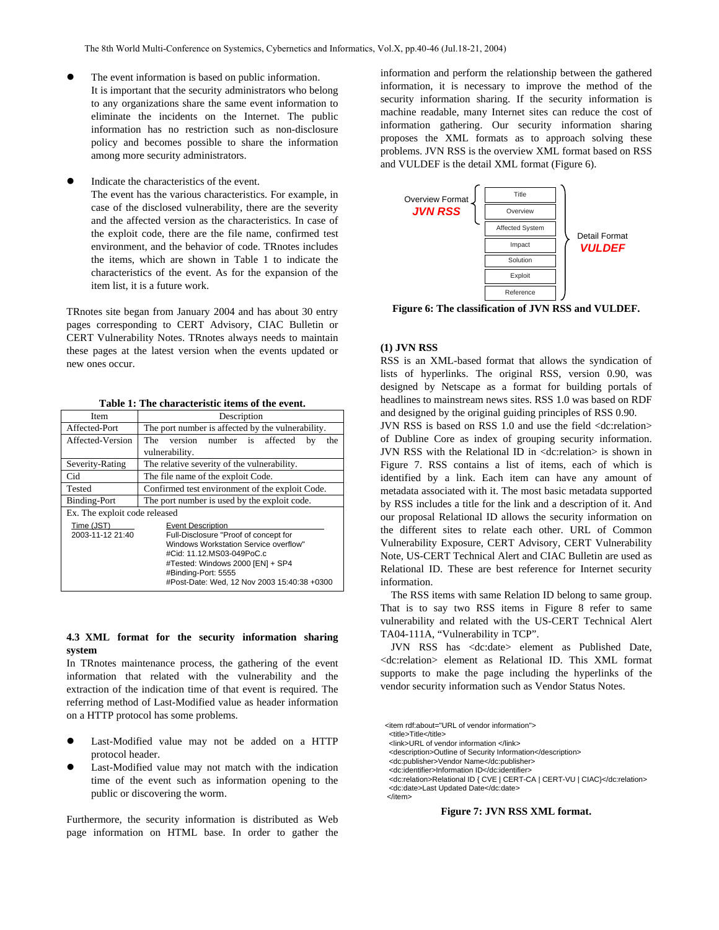- The event information is based on public information. It is important that the security administrators who belong to any organizations share the same event information to eliminate the incidents on the Internet. The public information has no restriction such as non-disclosure policy and becomes possible to share the information among more security administrators.
- Indicate the characteristics of the event.

The event has the various characteristics. For example, in case of the disclosed vulnerability, there are the severity and the affected version as the characteristics. In case of the exploit code, there are the file name, confirmed test environment, and the behavior of code. TRnotes includes the items, which are shown in [Table 1](#page-3-0) to indicate the characteristics of the event. As for the expansion of the item list, it is a future work.

TRnotes site began from January 2004 and has about 30 entry pages corresponding to CERT Advisory, CIAC Bulletin or CERT Vulnerability Notes. TRnotes always needs to maintain these pages at the latest version when the events updated or new ones occur.

<span id="page-3-0"></span>**Table 1: The characteristic items of the event.** 

| Item                          | Description                                                        |  |
|-------------------------------|--------------------------------------------------------------------|--|
| Affected-Port                 | The port number is affected by the vulnerability.                  |  |
| Affected-Version              | version number is affected<br>The<br>bv<br>the                     |  |
|                               | vulnerability.                                                     |  |
| Severity-Rating               | The relative severity of the vulnerability.                        |  |
| Cid                           | The file name of the exploit Code.                                 |  |
| Tested                        | Confirmed test environment of the exploit Code.                    |  |
| Binding-Port                  | The port number is used by the exploit code.                       |  |
| Ex. The exploit code released |                                                                    |  |
| Time (JST)                    | <b>Event Description</b>                                           |  |
| 2003-11-12 21:40              | Full-Disclosure "Proof of concept for                              |  |
|                               | Windows Workstation Service overflow"<br>#Cid: 11.12.MS03-049PoC.c |  |
|                               | #Tested: Windows 2000 [EN] + SP4                                   |  |
|                               | #Binding-Port: 5555                                                |  |
|                               | #Post-Date: Wed, 12 Nov 2003 15:40:38 +0300                        |  |

# **4.3 XML format for the security information sharing system**

In TRnotes maintenance process, the gathering of the event information that related with the vulnerability and the extraction of the indication time of that event is required. The referring method of Last-Modified value as header information on a HTTP protocol has some problems.

- Last-Modified value may not be added on a HTTP protocol header.
- Last-Modified value may not match with the indication time of the event such as information opening to the public or discovering the worm.

Furthermore, the security information is distributed as Web page information on HTML base. In order to gather the information and perform the relationship between the gathered information, it is necessary to improve the method of the security information sharing. If the security information is machine readable, many Internet sites can reduce the cost of information gathering. Our security information sharing proposes the XML formats as to approach solving these problems. JVN RSS is the overview XML format based on RSS and VULDEF is the detail XML format ([Figure 6\)](#page-3-1).



<span id="page-3-1"></span>**Figure 6: The classification of JVN RSS and VULDEF.** 

# **(1) JVN RSS**

RSS is an XML-based format that allows the syndication of lists of hyperlinks. The original RSS, version 0.90, was designed by Netscape as a format for building portals of headlines to mainstream news sites. RSS 1.0 was based on RDF and designed by the original guiding principles of RSS 0.90.

JVN RSS is based on RSS 1.0 and use the field <dc:relation> of Dubline Core as index of grouping security information. JVN RSS with the Relational ID in <dc:relation> is shown in [Figure 7.](#page-3-2) RSS contains a list of items, each of which is identified by a link. Each item can have any amount of metadata associated with it. The most basic metadata supported by RSS includes a title for the link and a description of it. And our proposal Relational ID allows the security information on the different sites to relate each other. URL of Common Vulnerability Exposure, CERT Advisory, CERT Vulnerability Note, US-CERT Technical Alert and CIAC Bulletin are used as Relational ID. These are best reference for Internet security information.

The RSS items with same Relation ID belong to same group. That is to say two RSS items in [Figure 8](#page-4-0) refer to same vulnerability and related with the US-CERT Technical Alert TA04-111A, "Vulnerability in TCP".

JVN RSS has <dc:date> element as Published Date, <dc:relation> element as Relational ID. This XML format supports to make the page including the hyperlinks of the vendor security information such as Vendor Status Notes.

<item rdf:about="URL of vendor information">

<title>Title</title>

 <link>URL of vendor information </link> <description>Outline of Security Information</description>

<dc:publisher>Vendor Name</dc:publisher>

<dc:identifier>Information ID</dc:identifier>

 <dc:relation>Relational ID { CVE | CERT-CA | CERT-VU | CIAC}</dc:relation> <dc:date>Last Updated Date</dc:date> </item>

# <span id="page-3-2"></span>**Figure 7: JVN RSS XML format.**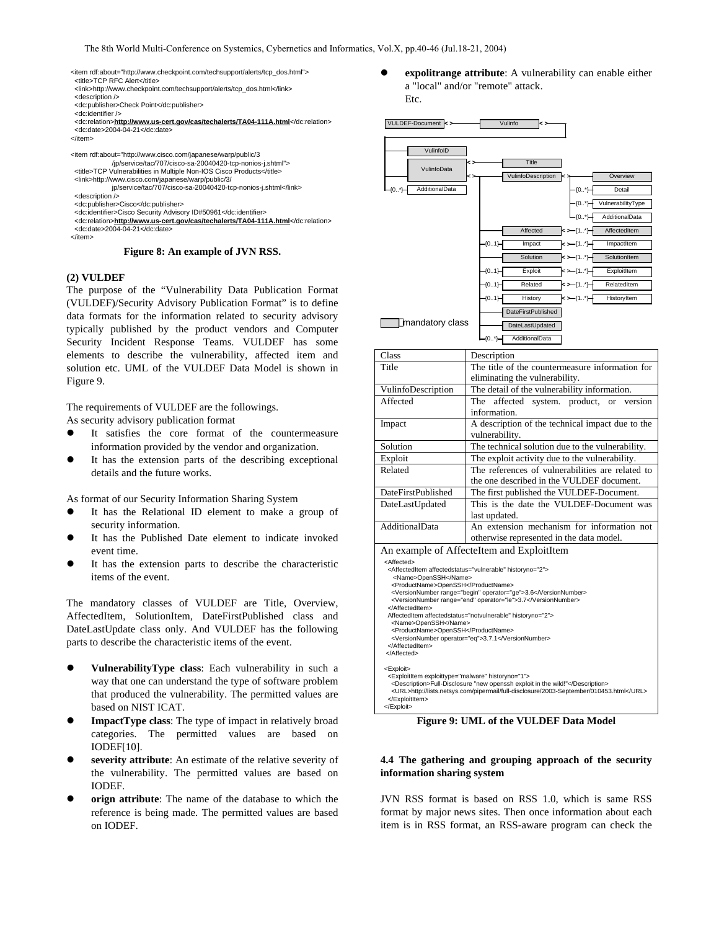<item rdf:about="http://www.checkpoint.com/techsupport/alerts/tcp\_dos.html"> <title>TCP RFC Alert</title> <link>http://www.checkpoint.com/techsupport/alerts/tcp\_dos.html</link> <description /> <dc:publisher>Check Point</dc:publisher> <dc:identifier /> <dc:relation>**http://www.us-cert.gov/cas/techalerts/TA04-111A.html**</dc:relation> <dc:date>2004-04-21</dc:date> </item> <item rdf:about="http://www.cisco.com/japanese/warp/public/3 /jp/service/tac/707/cisco-sa-20040420-tcp-nonios-j.shtml"> <title>TCP Vulnerabilities in Multiple Non-IOS Cisco Products</title> <link>http://www.cisco.com/japanese/warp/public/3/ jp/service/tac/707/cisco-sa-20040420-tcp-nonios-j.shtml</link> <description /> <dc:publisher>Cisco</dc:publisher> <dc:identifier>Cisco Security Advisory ID#50961</dc:identifier> <dc:relation>**http://www.us-cert.gov/cas/techalerts/TA04-111A.html**</dc:relation> <dc:date>2004-04-21</dc:date> </item>

<span id="page-4-0"></span>**Figure 8: An example of JVN RSS.** 

# **(2) VULDEF**

The purpose of the "Vulnerability Data Publication Format (VULDEF)/Security Advisory Publication Format" is to define data formats for the information related to security advisory typically published by the product vendors and Computer Security Incident Response Teams. VULDEF has some elements to describe the vulnerability, affected item and solution etc. UML of the VULDEF Data Model is shown in [Figure 9.](#page-4-1)

The requirements of VULDEF are the followings.

- As security advisory publication format
- It satisfies the core format of the countermeasure information provided by the vendor and organization.
- It has the extension parts of the describing exceptional details and the future works.

As format of our Security Information Sharing System

- It has the Relational ID element to make a group of security information.
- It has the Published Date element to indicate invoked event time.
- It has the extension parts to describe the characteristic items of the event.

The mandatory classes of VULDEF are Title, Overview, AffectedItem, SolutionItem, DateFirstPublished class and DateLastUpdate class only. And VULDEF has the following parts to describe the characteristic items of the event.

- **VulnerabilityType class:** Each vulnerability in such a way that one can understand the type of software problem that produced the vulnerability. The permitted values are based on NIST ICAT.
- **ImpactType class:** The type of impact in relatively broad categories. The permitted values are based on IODEF[\[10\]](#page-5-8).
- severity attribute: An estimate of the relative severity of the vulnerability. The permitted values are based on IODEF.
- orign attribute: The name of the database to which the reference is being made. The permitted values are based on IODEF.

expolitrange attribute: A vulnerability can enable either a "local" and/or "remote" attack. Etc.



<span id="page-4-1"></span>**Figure 9: UML of the VULDEF Data Model** 

# **4.4 The gathering and grouping approach of the security information sharing system**

JVN RSS format is based on RSS 1.0, which is same RSS format by major news sites. Then once information about each item is in RSS format, an RSS-aware program can check the